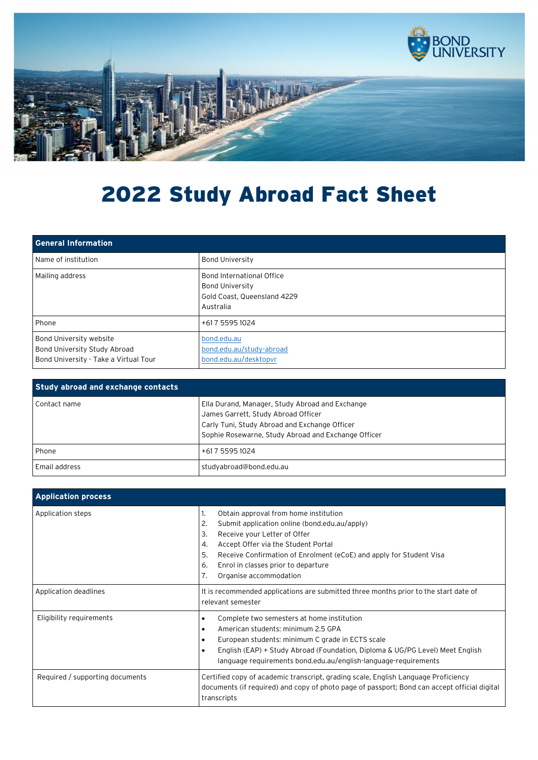

## 2022 Study Abroad Fact Sheet

| <b>General Information</b>                                                                       |                                                                                                 |
|--------------------------------------------------------------------------------------------------|-------------------------------------------------------------------------------------------------|
| Name of institution                                                                              | <b>Bond University</b>                                                                          |
| Mailing address                                                                                  | Bond International Office<br><b>Bond University</b><br>Gold Coast, Queensland 4229<br>Australia |
| Phone                                                                                            | +617 5595 1024                                                                                  |
| Bond University website<br>Bond University Study Abroad<br>Bond University - Take a Virtual Tour | bond.edu.au<br>bond.edu.au/study-abroad<br>bond.edu.au/desktopvr                                |

| <b>Study abroad and exchange contacts</b> |                                                                                                                                                                                                |
|-------------------------------------------|------------------------------------------------------------------------------------------------------------------------------------------------------------------------------------------------|
| Contact name                              | Ella Durand, Manager, Study Abroad and Exchange<br>James Garrett, Study Abroad Officer<br>Carly Tuni, Study Abroad and Exchange Officer<br>Sophie Rosewarne, Study Abroad and Exchange Officer |
| Phone                                     | +61 7 5595 1024                                                                                                                                                                                |
| Email address                             | studyabroad@bond.edu.au                                                                                                                                                                        |

| <b>Application process</b>      |                                                                                                                                                                                                                                                                                                                                                 |
|---------------------------------|-------------------------------------------------------------------------------------------------------------------------------------------------------------------------------------------------------------------------------------------------------------------------------------------------------------------------------------------------|
| Application steps               | Obtain approval from home institution<br>1.<br>Submit application online (bond.edu.au/apply)<br>2.<br>3.<br>Receive your Letter of Offer<br>Accept Offer via the Student Portal<br>4.<br>5.<br>Receive Confirmation of Enrolment (eCoE) and apply for Student Visa<br>Enrol in classes prior to departure<br>6.<br>Organise accommodation<br>7. |
| Application deadlines           | It is recommended applications are submitted three months prior to the start date of<br>relevant semester                                                                                                                                                                                                                                       |
| Eligibility requirements        | Complete two semesters at home institution<br>$\bullet$<br>American students: minimum 2.5 GPA<br>$\bullet$<br>European students: minimum C grade in ECTS scale<br>$\bullet$<br>English (EAP) + Study Abroad (Foundation, Diploma & UG/PG Level) Meet English<br>$\bullet$<br>language requirements bond.edu.au/english-language-requirements    |
| Required / supporting documents | Certified copy of academic transcript, grading scale, English Language Proficiency<br>documents (if required) and copy of photo page of passport; Bond can accept official digital<br>transcripts                                                                                                                                               |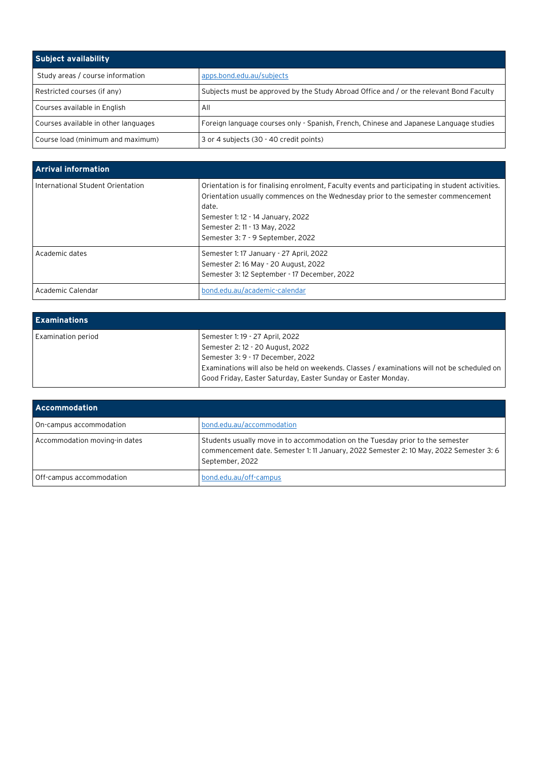| Subject availability                 |                                                                                         |
|--------------------------------------|-----------------------------------------------------------------------------------------|
| Study areas / course information     | apps.bond.edu.au/subjects                                                               |
| Restricted courses (if any)          | Subjects must be approved by the Study Abroad Office and / or the relevant Bond Faculty |
| Courses available in English         | All                                                                                     |
| Courses available in other languages | Foreign language courses only - Spanish, French, Chinese and Japanese Language studies  |
| Course load (minimum and maximum)    | 3 or 4 subjects (30 - 40 credit points)                                                 |

| <b>Arrival information</b>        |                                                                                                                                                                                                                                                                                                           |
|-----------------------------------|-----------------------------------------------------------------------------------------------------------------------------------------------------------------------------------------------------------------------------------------------------------------------------------------------------------|
| International Student Orientation | Orientation is for finalising enrolment, Faculty events and participating in student activities.<br>Orientation usually commences on the Wednesday prior to the semester commencement<br>date.<br>Semester 1: 12 - 14 January, 2022<br>Semester 2: 11 - 13 May, 2022<br>Semester 3: 7 - 9 September, 2022 |
| Academic dates                    | Semester 1: 17 January - 27 April, 2022<br>Semester 2:16 May - 20 August, 2022<br>Semester 3:12 September - 17 December, 2022                                                                                                                                                                             |
| Academic Calendar                 | bond.edu.au/academic-calendar                                                                                                                                                                                                                                                                             |

| <b>Examinations</b> |                                                                                                                                                                                                                                                                          |
|---------------------|--------------------------------------------------------------------------------------------------------------------------------------------------------------------------------------------------------------------------------------------------------------------------|
| Examination period  | Semester 1: 19 - 27 April, 2022<br>Semester 2: 12 - 20 August, 2022<br>Semester 3: 9 - 17 December, 2022<br>Examinations will also be held on weekends. Classes / examinations will not be scheduled on<br>Good Friday, Easter Saturday, Easter Sunday or Easter Monday. |

| <b>Accommodation</b>          |                                                                                                                                                                                             |
|-------------------------------|---------------------------------------------------------------------------------------------------------------------------------------------------------------------------------------------|
| On-campus accommodation       | bond.edu.au/accommodation                                                                                                                                                                   |
| Accommodation moving-in dates | Students usually move in to accommodation on the Tuesday prior to the semester<br>commencement date. Semester 1: 11 January, 2022 Semester 2: 10 May, 2022 Semester 3: 6<br>September, 2022 |
| Off-campus accommodation      | bond.edu.au/off-campus                                                                                                                                                                      |